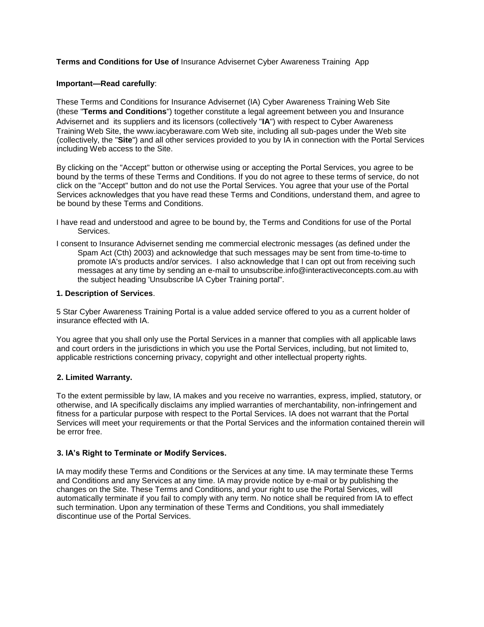## **Terms and Conditions for Use of** Insurance Advisernet Cyber Awareness Training App

### **Important—Read carefully**:

These Terms and Conditions for Insurance Advisernet (IA) Cyber Awareness Training Web Site (these "**Terms and Conditions**") together constitute a legal agreement between you and Insurance Advisernet and its suppliers and its licensors (collectively "**IA**") with respect to Cyber Awareness Training Web Site, the www.iacyberaware.com Web site, including all sub-pages under the Web site (collectively, the "**Site**") and all other services provided to you by IA in connection with the Portal Services including Web access to the Site.

By clicking on the "Accept" button or otherwise using or accepting the Portal Services, you agree to be bound by the terms of these Terms and Conditions. If you do not agree to these terms of service, do not click on the "Accept" button and do not use the Portal Services. You agree that your use of the Portal Services acknowledges that you have read these Terms and Conditions, understand them, and agree to be bound by these Terms and Conditions.

- I have read and understood and agree to be bound by, the Terms and Conditions for use of the Portal Services.
- I consent to Insurance Advisernet sending me commercial electronic messages (as defined under the Spam Act (Cth) 2003) and acknowledge that such messages may be sent from time-to-time to promote IA's products and/or services. I also acknowledge that I can opt out from receiving such messages at any time by sending an e-mail to unsubscribe.info@interactiveconcepts.com.au with the subject heading 'Unsubscribe IA Cyber Training portal".

## **1. Description of Services**.

5 Star Cyber Awareness Training Portal is a value added service offered to you as a current holder of insurance effected with IA.

You agree that you shall only use the Portal Services in a manner that complies with all applicable laws and court orders in the jurisdictions in which you use the Portal Services, including, but not limited to, applicable restrictions concerning privacy, copyright and other intellectual property rights.

# **2. Limited Warranty.**

To the extent permissible by law, IA makes and you receive no warranties, express, implied, statutory, or otherwise, and IA specifically disclaims any implied warranties of merchantability, non-infringement and fitness for a particular purpose with respect to the Portal Services. IA does not warrant that the Portal Services will meet your requirements or that the Portal Services and the information contained therein will be error free.

# **3. IA's Right to Terminate or Modify Services.**

IA may modify these Terms and Conditions or the Services at any time. IA may terminate these Terms and Conditions and any Services at any time. IA may provide notice by e-mail or by publishing the changes on the Site. These Terms and Conditions, and your right to use the Portal Services, will automatically terminate if you fail to comply with any term. No notice shall be required from IA to effect such termination. Upon any termination of these Terms and Conditions, you shall immediately discontinue use of the Portal Services.